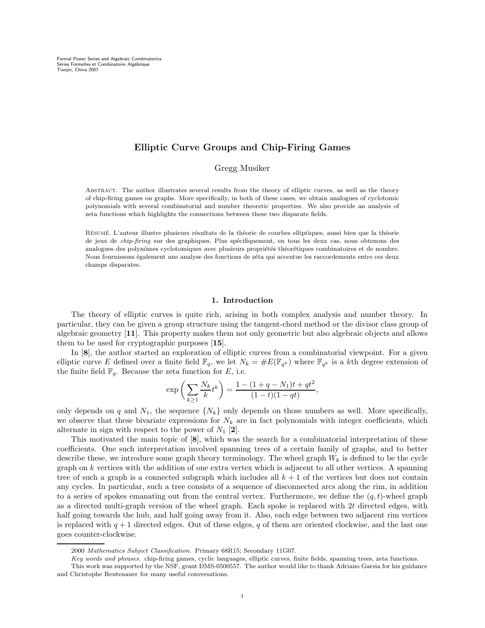Formal Power Series and Algebraic Combinatorics Séries Formelles et Combinatoire Algébrique<br>Tianjin, China 2007

# Elliptic Curve Groups and Chip-Firing Games

Gregg Musiker

Abstract. The author illustrates several results from the theory of elliptic curves, as well as the theory of chip-firing games on graphs. More specifically, in both of these cases, we obtain analogues of cyclotomic polynomials with several combinatorial and number theoretic properties. We also provide an analysis of zeta functions which highlights the connections between these two disparate fields.

RÉSUMÉ. L'auteur illustre plusieurs résultats de la théorie de courbes elliptiques, aussi bien que la théorie de jeux de *chip-firing* sur des graphiques. Plus spécifiquement, en tous les deux cas, nous obtenons des analogues des polynômes cyclotomiques avec plusieurs propriétés théorétiques combinatoires et de nombre. Nous fournissons également une analyse des fonctions de zéta qui accentue les raccordements entre ces deux champs disparates.

### 1. Introduction

The theory of elliptic curves is quite rich, arising in both complex analysis and number theory. In particular, they can be given a group structure using the tangent-chord method or the divisor class group of algebraic geometry [11]. This property makes them not only geometric but also algebraic objects and allows them to be used for cryptographic purposes [15].

In [8], the author started an exploration of elliptic curves from a combinatorial viewpoint. For a given elliptic curve E defined over a finite field  $\mathbb{F}_q$ , we let  $N_k = \#E(\mathbb{F}_{q^k})$  where  $\mathbb{F}_{q^k}$  is a kth degree extension of the finite field  $\mathbb{F}_q$ . Because the zeta function for E, i.e.

$$
\exp\left(\sum_{k\geq 1}\frac{N_k}{k}t^k\right) = \frac{1 - (1 + q - N_1)t + qt^2}{(1 - t)(1 - qt)},
$$

only depends on q and  $N_1$ , the sequence  $\{N_k\}$  only depends on those numbers as well. More specifically, we observe that these bivariate expressions for  $N_k$  are in fact polynomials with integer coefficients, which alternate in sign with respect to the power of  $N_1$  [2].

This motivated the main topic of [8], which was the search for a combinatorial interpretation of these coefficients. One such interpretation involved spanning trees of a certain family of graphs, and to better describe these, we introduce some graph theory terminology. The wheel graph  $W_k$  is defined to be the cycle graph on k vertices with the addition of one extra vertex which is adjacent to all other vertices. A spanning tree of such a graph is a connected subgraph which includes all  $k + 1$  of the vertices but does not contain any cycles. In particular, such a tree consists of a sequence of disconnected arcs along the rim, in addition to a series of spokes emanating out from the central vertex. Furthermore, we define the  $(q, t)$ -wheel graph as a directed multi-graph version of the wheel graph. Each spoke is replaced with 2t directed edges, with half going towards the hub, and half going away from it. Also, each edge between two adjacent rim vertices is replaced with  $q + 1$  directed edges. Out of these edges, q of them are oriented clockwise, and the last one goes counter-clockwise.

<sup>2000</sup> Mathematics Subject Classification. Primary 68R15; Secondary 11G07.

Key words and phrases. chip-firing games, cyclic languages, elliptic curves, finite fields, spanning trees, zeta functions.

This work was supported by the NSF, grant DMS-0500557. The author would like to thank Adriano Garsia for his guidance and Christophe Reutenauer for many useful conversations.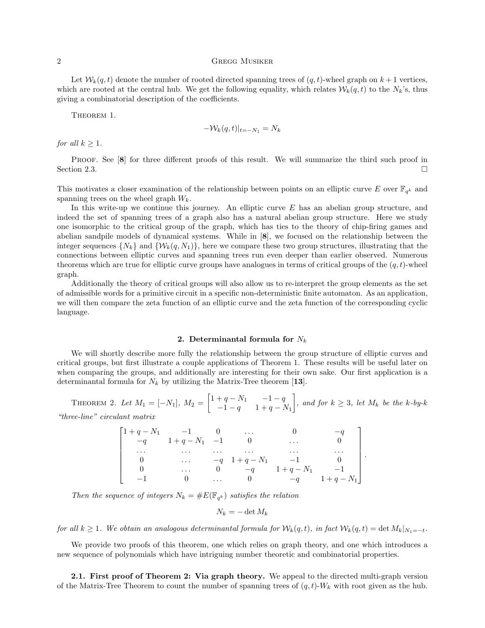### 2 Gregg Musiker

Let  $W_k(q, t)$  denote the number of rooted directed spanning trees of  $(q, t)$ -wheel graph on  $k + 1$  vertices, which are rooted at the central hub. We get the following equality, which relates  $W_k(q, t)$  to the  $N_k$ 's, thus giving a combinatorial description of the coefficients.

THEOREM 1.

$$
-\mathcal{W}_k(q,t)|_{t=-N_1}=N_k
$$

for all  $k \geq 1$ .

PROOF. See [8] for three different proofs of this result. We will summarize the third such proof in Section 2.3.

This motivates a closer examination of the relationship between points on an elliptic curve E over  $\mathbb{F}_{q^k}$  and spanning trees on the wheel graph  $W_k$ .

In this write-up we continue this journey. An elliptic curve  $E$  has an abelian group structure, and indeed the set of spanning trees of a graph also has a natural abelian group structure. Here we study one isomorphic to the critical group of the graph, which has ties to the theory of chip-firing games and abelian sandpile models of dynamical systems. While in [8], we focused on the relationship between the integer sequences  $\{N_k\}$  and  $\{\mathcal{W}_k(q, N_1)\}\)$ , here we compare these two group structures, illustrating that the connections between elliptic curves and spanning trees run even deeper than earlier observed. Numerous theorems which are true for elliptic curve groups have analogues in terms of critical groups of the  $(q, t)$ -wheel graph.

Additionally the theory of critical groups will also allow us to re-interpret the group elements as the set of admissible words for a primitive circuit in a specific non-deterministic finite automaton. As an application, we will then compare the zeta function of an elliptic curve and the zeta function of the corresponding cyclic language.

## 2. Determinantal formula for  $N_k$

We will shortly describe more fully the relationship between the group structure of elliptic curves and critical groups, but first illustrate a couple applications of Theorem 1. These results will be useful later on when comparing the groups, and additionally are interesting for their own sake. Our first application is a determinantal formula for  $N_k$  by utilizing the Matrix-Tree theorem [13].

THEOREM 2. Let  $M_1 = [-N_1], M_2 = \begin{bmatrix} 1+q-N_1 & -1-q \\ -1-q & 1+q-1 \end{bmatrix}$  $-1 - q$  1 + q – N<sub>1</sub> , and for  $k \geq 3$ , let  $M_k$  be the k-by-k "three-line" circulant matrix

|          | $1 + q - N_1$ $-1$ 0 |          | $\cdots$                       |                  |                         |  |
|----------|----------------------|----------|--------------------------------|------------------|-------------------------|--|
|          | $-q$ $1+q-N_1$ $-1$  |          |                                | $\cdots$         |                         |  |
| $\cdots$ | $\cdots$             | $\cdots$ | $\cdots$                       | $\cdots$         | $\cdot$ $\cdot$ $\cdot$ |  |
|          | $\cdots$             |          | $-q$ 1 + q - N <sub>1</sub> -1 |                  |                         |  |
|          | $\cdots$             |          |                                | $-q$ $1+q-N_1$   | $-1$                    |  |
|          |                      |          |                                | 0 $-q$ $1+q-N_1$ |                         |  |

Then the sequence of integers  $N_k = \#E(\mathbb{F}_{q^k})$  satisfies the relation

$$
N_k = -\det M_k
$$

for all  $k \geq 1$ . We obtain an analogous determinantal formula for  $\mathcal{W}_k(q,t)$ , in fact  $\mathcal{W}_k(q,t) = \det M_k|_{N_1=-t}$ .

We provide two proofs of this theorem, one which relies on graph theory, and one which introduces a new sequence of polynomials which have intriguing number theoretic and combinatorial properties.

2.1. First proof of Theorem 2: Via graph theory. We appeal to the directed multi-graph version of the Matrix-Tree Theorem to count the number of spanning trees of  $(q, t)$ -W<sub>k</sub> with root given as the hub.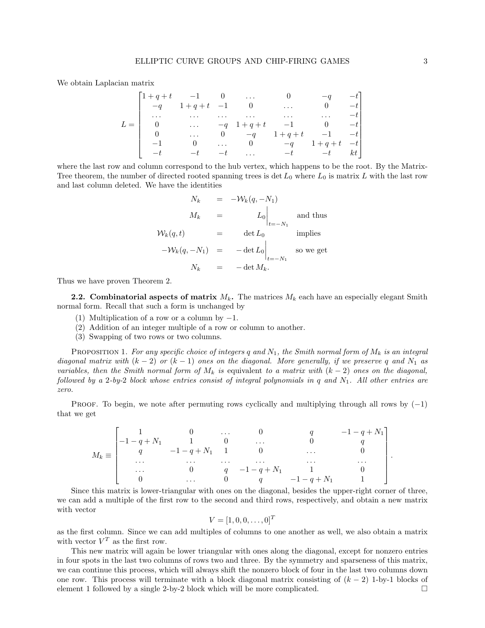We obtain Laplacian matrix

|       |                                        | $\begin{bmatrix} 1+q+t & -1 & 0 & \dots \end{bmatrix}$ |          |                |          |                                            |  |
|-------|----------------------------------------|--------------------------------------------------------|----------|----------------|----------|--------------------------------------------|--|
|       |                                        | $\begin{vmatrix} -q & 1+q+t & -1 & 0 \end{vmatrix}$    |          |                | $\cdots$ |                                            |  |
|       | $\cdots$                               | $\cdots$                                               | $\cdots$ | $\cdots$       | $\cdots$ | $\ldots$ $-t$                              |  |
| $L =$ | $\begin{bmatrix} 0 \\ 0 \end{bmatrix}$ |                                                        |          |                |          | $-q \quad 1+q+t \quad -1 \quad 0 \quad -t$ |  |
|       |                                        | $\cdots$                                               |          | 0 $-q$ $1+q+t$ |          | $-1$ $-t$                                  |  |
|       |                                        |                                                        |          |                |          | 0 $-q$ $1+q+t$ $-t$                        |  |
|       | $\vert -t \vert$                       | $-t$ $-t$                                              |          |                |          | $\ldots$ $-t$ $-t$ $kt$                    |  |

where the last row and column correspond to the hub vertex, which happens to be the root. By the Matrix-Tree theorem, the number of directed rooted spanning trees is det  $L_0$  where  $L_0$  is matrix L with the last row and last column deleted. We have the identities

$$
N_k = -\mathcal{W}_k(q, -N_1)
$$
  
\n
$$
M_k = L_0 \Big|_{t=-N_1}
$$
 and thus  
\n
$$
\mathcal{W}_k(q, t) = \det L_0
$$
 implies  
\n
$$
-\mathcal{W}_k(q, -N_1) = -\det L_0 \Big|_{t=-N_1}
$$
 so we get  
\n
$$
N_k = -\det M_k.
$$

Thus we have proven Theorem 2.

**2.2. Combinatorial aspects of matrix**  $M_k$ . The matrices  $M_k$  each have an especially elegant Smith normal form. Recall that such a form is unchanged by

- (1) Multiplication of a row or a column by  $-1$ .
- (2) Addition of an integer multiple of a row or column to another.
- (3) Swapping of two rows or two columns.

PROPOSITION 1. For any specific choice of integers q and  $N_1$ , the Smith normal form of  $M_k$  is an integral diagonal matrix with  $(k-2)$  or  $(k-1)$  ones on the diagonal. More generally, if we preserve q and  $N_1$  as variables, then the Smith normal form of  $M_k$  is equivalent to a matrix with  $(k-2)$  ones on the diagonal, followed by a 2-by-2 block whose entries consist of integral polynomials in q and  $N_1$ . All other entries are zero.

PROOF. To begin, we note after permuting rows cyclically and multiplying through all rows by  $(-1)$ that we get

$$
M_k \equiv \begin{bmatrix} 1 & 0 & \dots & 0 & q & -1-q+N_1 \\ -1-q+N_1 & 1 & 0 & \dots & 0 & q \\ q & -1-q+N_1 & 1 & 0 & \dots & 0 \\ \dots & \dots & \dots & \dots & \dots & \dots & \dots \\ 0 & q & -1-q+N_1 & 1 & 0 \\ 0 & \dots & 0 & q & -1-q+N_1 & 1 \end{bmatrix}.
$$

Since this matrix is lower-triangular with ones on the diagonal, besides the upper-right corner of three, we can add a multiple of the first row to the second and third rows, respectively, and obtain a new matrix with vector

$$
V=[1,0,0,\ldots,0]^T
$$

as the first column. Since we can add multiples of columns to one another as well, we also obtain a matrix with vector  $V^T$  as the first row.

This new matrix will again be lower triangular with ones along the diagonal, except for nonzero entries in four spots in the last two columns of rows two and three. By the symmetry and sparseness of this matrix, we can continue this process, which will always shift the nonzero block of four in the last two columns down one row. This process will terminate with a block diagonal matrix consisting of  $(k - 2)$  1-by-1 blocks of element 1 followed by a single 2-by-2 block which will be more complicated. □ element 1 followed by a single 2-by-2 block which will be more complicated.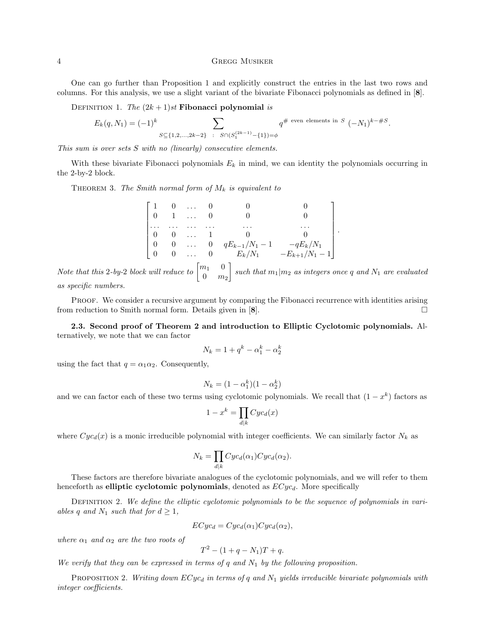### 4 Gregg Musiker

One can go further than Proposition 1 and explicitly construct the entries in the last two rows and columns. For this analysis, we use a slight variant of the bivariate Fibonacci polynomials as defined in [8].

DEFINITION 1. The  $(2k + 1)st$  Fibonacci polynomial is

$$
E_k(q, N_1) = (-1)^k \sum_{S \subseteq \{1, 2, ..., 2k-2\}} \sum_{\substack{S \cap (S_1^{(2k-1)} - \{1\}) = \phi}} q^{\# \text{ even elements in } S} (-N_1)^{k - \#S}.
$$

This sum is over sets S with no (linearly) consecutive elements.

With these bivariate Fibonacci polynomials  $E_k$  in mind, we can identity the polynomials occurring in the 2-by-2 block.

THEOREM 3. The Smith normal form of  $M_k$  is equivalent to

|  | $\begin{bmatrix} 1 & 0 & \dots & 0 \end{bmatrix}$ |  |                                                                                                                                                                                                                                                     |
|--|---------------------------------------------------|--|-----------------------------------------------------------------------------------------------------------------------------------------------------------------------------------------------------------------------------------------------------|
|  | $\begin{bmatrix} 0 & 1 & \dots & 0 \end{bmatrix}$ |  |                                                                                                                                                                                                                                                     |
|  |                                                   |  |                                                                                                                                                                                                                                                     |
|  |                                                   |  |                                                                                                                                                                                                                                                     |
|  |                                                   |  |                                                                                                                                                                                                                                                     |
|  |                                                   |  | $\begin{bmatrix} 0 & 1 & \ldots & 0 & 0 & 0 \\ \ldots & \ldots & \ldots & \ldots & \ldots & \ldots \\ 0 & 0 & \ldots & 1 & 0 & 0 \\ 0 & 0 & \ldots & 0 & qE_{k-1}/N_1-1 & -qE_k/N_1 \\ 0 & 0 & \ldots & 0 & E_k/N_1 & -E_{k+1}/N_1-1 \end{bmatrix}$ |

.

Note that this 2-by-2 block will reduce to  $\begin{bmatrix} m_1 & 0 \\ 0 & m_2 \end{bmatrix}$  $0 \quad m_2$ such that  $m_1|m_2$  as integers once q and  $N_1$  are evaluated as specific numbers.

PROOF. We consider a recursive argument by comparing the Fibonacci recurrence with identities arising from reduction to Smith normal form. Details given in [8].

2.3. Second proof of Theorem 2 and introduction to Elliptic Cyclotomic polynomials. Alternatively, we note that we can factor

$$
N_k = 1 + q^k - \alpha_1^k - \alpha_2^k
$$

using the fact that  $q = \alpha_1 \alpha_2$ . Consequently,

$$
N_k = (1 - \alpha_1^k)(1 - \alpha_2^k)
$$

and we can factor each of these two terms using cyclotomic polynomials. We recall that  $(1 - x^k)$  factors as

$$
1 - x^k = \prod_{d|k} Cyc_d(x)
$$

where  $Cyc_d(x)$  is a monic irreducible polynomial with integer coefficients. We can similarly factor  $N_k$  as

$$
N_k = \prod_{d|k} Cyc_d(\alpha_1) Cyc_d(\alpha_2).
$$

These factors are therefore bivariate analogues of the cyclotomic polynomials, and we will refer to them henceforth as elliptic cyclotomic polynomials, denoted as  $ECyc<sub>d</sub>$ . More specifically

DEFINITION 2. We define the elliptic cyclotomic polynomials to be the sequence of polynomials in variables q and  $N_1$  such that for  $d \geq 1$ ,

$$
ECyc_d = Cyc_d(\alpha_1) Cyc_d(\alpha_2),
$$

where  $\alpha_1$  and  $\alpha_2$  are the two roots of

$$
T^2 - (1 + q - N_1)T + q.
$$

We verify that they can be expressed in terms of q and  $N_1$  by the following proposition.

PROPOSITION 2. Writing down  $ECyc_d$  in terms of q and  $N_1$  yields irreducible bivariate polynomials with integer coefficients.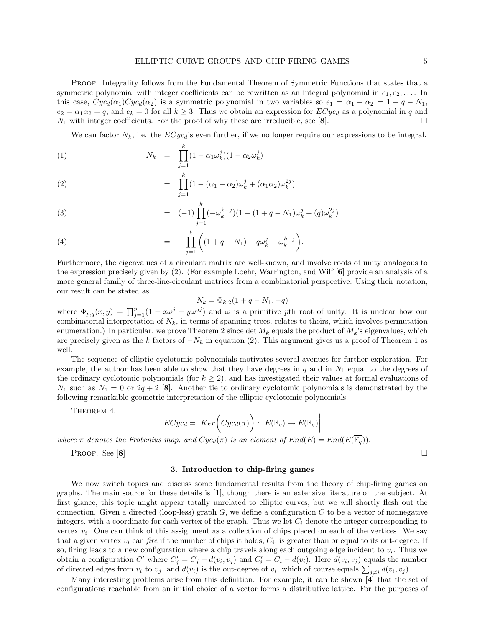PROOF. Integrality follows from the Fundamental Theorem of Symmetric Functions that states that a symmetric polynomial with integer coefficients can be rewritten as an integral polynomial in  $e_1, e_2, \ldots$ . In this case,  $Cyc_d(\alpha_1)Cyc_d(\alpha_2)$  is a symmetric polynomial in two variables so  $e_1 = \alpha_1 + \alpha_2 = 1 + q - N_1$ ,  $e_2 = \alpha_1 \alpha_2 = q$ , and  $e_k = 0$  for all  $k \geq 3$ . Thus we obtain an expression for  $ECyc_d$  as a polynomial in q and  $N_1$  with integer coefficients. For the proof of why these are irreducible, see [8].

We can factor  $N_k$ , i.e. the  $ECyc_d$ 's even further, if we no longer require our expressions to be integral.

(1) 
$$
N_k = \prod_{j=1}^k (1 - \alpha_1 \omega_k^j)(1 - \alpha_2 \omega_k^j)
$$

(2) 
$$
\qquad \qquad = \prod_{j=1}^{k} (1 - (\alpha_1 + \alpha_2) \omega_k^j + (\alpha_1 \alpha_2) \omega_k^{2j})
$$

(3) 
$$
= (-1) \prod_{j=1}^{k} (-\omega_k^{k-j})(1 - (1+q-N_1)\omega_k^j + (q)\omega_k^{2j})
$$

(4) 
$$
= - \prod_{j=1}^{k} \left( (1 + q - N_1) - q \omega_k^j - \omega_k^{k-j} \right).
$$

Furthermore, the eigenvalues of a circulant matrix are well-known, and involve roots of unity analogous to the expression precisely given by (2). (For example Loehr, Warrington, and Wilf [6] provide an analysis of a more general family of three-line-circulant matrices from a combinatorial perspective. Using their notation, our result can be stated as

$$
N_k = \Phi_{k,2}(1 + q - N_1, -q)
$$

where  $\Phi_{p,q}(x,y) = \prod_{j=1}^p (1 - x\omega^j - y\omega^{qj})$  and  $\omega$  is a primitive pth root of unity. It is unclear how our combinatorial interpretation of  $N_k$ , in terms of spanning trees, relates to theirs, which involves permutation enumeration.) In particular, we prove Theorem 2 since det  $M_k$  equals the product of  $M_k$ 's eigenvalues, which are precisely given as the k factors of  $-N_k$  in equation (2). This argument gives us a proof of Theorem 1 as well.

The sequence of elliptic cyclotomic polynomials motivates several avenues for further exploration. For example, the author has been able to show that they have degrees in  $q$  and in  $N_1$  equal to the degrees of the ordinary cyclotomic polynomials (for  $k \geq 2$ ), and has investigated their values at formal evaluations of  $N_1$  such as  $N_1 = 0$  or  $2q + 2$  [8]. Another tie to ordinary cyclotomic polynomials is demonstrated by the following remarkable geometric interpretation of the elliptic cyclotomic polynomials.

THEOREM 4.

$$
ECyc_d = \left| Ker\left(Cyc_d(\pi)\right) : E(\overline{\mathbb{F}_q}) \to E(\overline{\mathbb{F}_q})\right|
$$

 $\overline{\phantom{a}}$  $\overline{\phantom{a}}$  $\overline{\phantom{a}}$  $\overline{\phantom{a}}$ 

where  $\pi$  denotes the Frobenius map, and  $Cyc_d(\pi)$  is an element of  $End(E) = End(E(\overline{\mathbb{F}_q}))$ .

Proof. See  $[8]$ 

#### 3. Introduction to chip-firing games

We now switch topics and discuss some fundamental results from the theory of chip-firing games on graphs. The main source for these details is [1], though there is an extensive literature on the subject. At first glance, this topic might appear totally unrelated to elliptic curves, but we will shortly flesh out the connection. Given a directed (loop-less) graph  $G$ , we define a configuration  $C$  to be a vector of nonnegative integers, with a coordinate for each vertex of the graph. Thus we let  $C_i$  denote the integer corresponding to vertex  $v_i$ . One can think of this assignment as a collection of chips placed on each of the vertices. We say that a given vertex  $v_i$  can fire if the number of chips it holds,  $C_i$ , is greater than or equal to its out-degree. If so, firing leads to a new configuration where a chip travels along each outgoing edge incident to  $v_i$ . Thus we obtain a configuration C' where  $C'_j = C_j + d(v_i, v_j)$  and  $C'_i = C_i - d(v_i)$ . Here  $d(v_i, v_j)$  equals the number of directed edges from  $v_i$  to  $v_j$ , and  $d(v_i)$  is the out-degree of  $v_i$ , which of course equals  $\sum_{j\neq i} d(v_i, v_j)$ .

Many interesting problems arise from this definition. For example, it can be shown [4] that the set of configurations reachable from an initial choice of a vector forms a distributive lattice. For the purposes of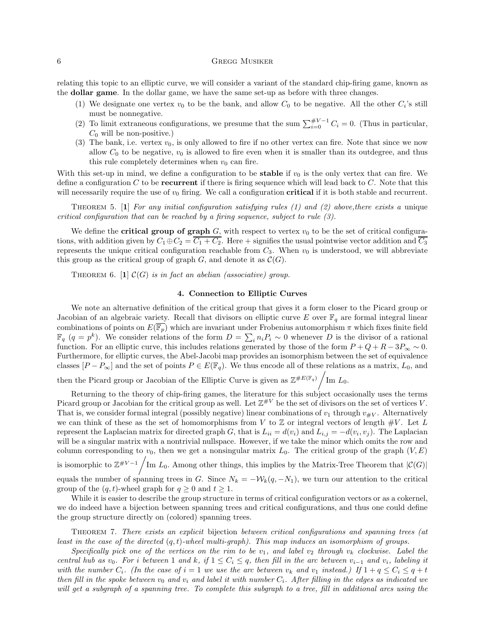### 6 GREGG MUSIKER

relating this topic to an elliptic curve, we will consider a variant of the standard chip-firing game, known as the dollar game. In the dollar game, we have the same set-up as before with three changes.

- (1) We designate one vertex  $v_0$  to be the bank, and allow  $C_0$  to be negative. All the other  $C_i$ 's still must be nonnegative.
- (2) To limit extraneous configurations, we presume that the sum  $\sum_{i=0}^{\#V-1} C_i = 0$ . (Thus in particular,  $C_0$  will be non-positive.)
- (3) The bank, i.e. vertex  $v_0$ , is only allowed to fire if no other vertex can fire. Note that since we now allow  $C_0$  to be negative,  $v_0$  is allowed to fire even when it is smaller than its outdegree, and thus this rule completely determines when  $v_0$  can fire.

With this set-up in mind, we define a configuration to be **stable** if  $v_0$  is the only vertex that can fire. We define a configuration  $C$  to be **recurrent** if there is firing sequence which will lead back to  $C$ . Note that this will necessarily require the use of  $v_0$  firing. We call a configuration **critical** if it is both stable and recurrent.

THEOREM 5. [1] For any initial configuration satisfying rules (1) and (2) above, there exists a unique critical configuration that can be reached by a firing sequence, subject to rule (3).

We define the **critical group of graph**  $G$ , with respect to vertex  $v_0$  to be the set of critical configurations, with addition given by  $C_1 \oplus C_2 = \overline{C_1 + C_2}$ . Here + signifies the usual pointwise vector addition and  $\overline{C_3}$ represents the unique critical configuration reachable from  $C_3$ . When  $v_0$  is understood, we will abbreviate this group as the critical group of graph  $G$ , and denote it as  $\mathcal{C}(G)$ .

THEOREM 6. [1]  $\mathcal{C}(G)$  is in fact an abelian (associative) group.

# 4. Connection to Elliptic Curves

We note an alternative definition of the critical group that gives it a form closer to the Picard group or Jacobian of an algebraic variety. Recall that divisors on elliptic curve E over  $\mathbb{F}_q$  are formal integral linear combinations of points on  $E(\overline{\mathbb{F}_p})$  which are invariant under Frobenius automorphism  $\pi$  which fixes finite field  $\mathbb{F}_q$   $(q = p^k)$ . We consider relations of the form  $D = \sum_i n_i P_i \sim 0$  whenever D is the divisor of a rational function. For an elliptic curve, this includes relations generated by those of the form  $P + Q + R - 3P_{\infty} \sim 0$ . Furthermore, for elliptic curves, the Abel-Jacobi map provides an isomorphism between the set of equivalence classes  $[P - P_{\infty}]$  and the set of points  $P \in E(\mathbb{F}_q)$ . We thus encode all of these relations as a matrix,  $L_0$ , and

then the Picard group or Jacobian of the Elliptic Curve is given as  $\mathbb{Z}^{\#E(\mathbb{F}_q)}$   $\big/$ Im  $L_0$ .

Returning to the theory of chip-firing games, the literature for this subject occasionally uses the terms Picard group or Jacobian for the critical group as well. Let  $\mathbb{Z}^{*V}$  be the set of divisors on the set of vertices V. That is, we consider formal integral (possibly negative) linear combinations of  $v_1$  through  $v_{\#V}$ . Alternatively we can think of these as the set of homomorphisms from V to  $\mathbb Z$  or integral vectors of length  $\#V$ . Let L represent the Laplacian matrix for directed graph G, that is  $L_{ii} = d(v_i)$  and  $L_{i,j} = -d(v_i, v_j)$ . The Laplacian will be a singular matrix with a nontrivial nullspace. However, if we take the minor which omits the row and column corresponding to  $v_0$ , then we get a nonsingular matrix  $L_0$ . The critical group of the graph  $(V, E)$ is isomorphic to  $\mathbb{Z}^{#V-1}$  Im  $L_0$ . Among other things, this implies by the Matrix-Tree Theorem that  $|\mathcal{C}(G)|$ equals the number of spanning trees in G. Since  $N_k = -\mathcal{W}_k(q, -N_1)$ , we turn our attention to the critical group of the  $(q, t)$ -wheel graph for  $q \geq 0$  and  $t \geq 1$ .

While it is easier to describe the group structure in terms of critical configuration vectors or as a cokernel, we do indeed have a bijection between spanning trees and critical configurations, and thus one could define the group structure directly on (colored) spanning trees.

THEOREM 7. There exists an explicit bijection between critical configurations and spanning trees (at least in the case of the directed  $(q, t)$ -wheel multi-graph). This map induces an isomorphism of groups.

Specifically pick one of the vertices on the rim to be  $v_1$ , and label  $v_2$  through  $v_k$  clockwise. Label the central hub as v<sub>0</sub>. For i between 1 and k, if  $1 \leq C_i \leq q$ , then fill in the arc between v<sub>i-1</sub> and v<sub>i</sub>, labeling it with the number  $C_i$ . (In the case of  $i = 1$  we use the arc between  $v_k$  and  $v_1$  instead.) If  $1 + q \leq C_i \leq q + t$ then fill in the spoke between  $v_0$  and  $v_i$  and label it with number  $C_i$ . After filling in the edges as indicated we will get a subgraph of a spanning tree. To complete this subgraph to a tree, fill in additional arcs using the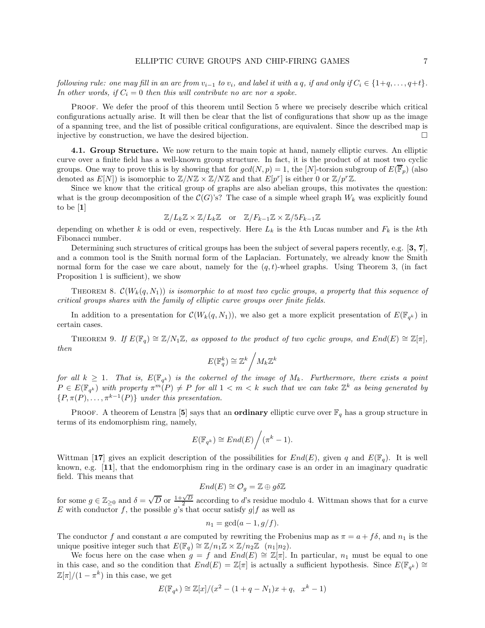following rule: one may fill in an arc from  $v_{i-1}$  to  $v_i$ , and label it with a q, if and only if  $C_i \in \{1+q, \ldots, q+t\}$ . In other words, if  $C_i = 0$  then this will contribute no arc nor a spoke.

Proof. We defer the proof of this theorem until Section 5 where we precisely describe which critical configurations actually arise. It will then be clear that the list of configurations that show up as the image of a spanning tree, and the list of possible critical configurations, are equivalent. Since the described map is injective by construction, we have the desired bijection.

4.1. Group Structure. We now return to the main topic at hand, namely elliptic curves. An elliptic curve over a finite field has a well-known group structure. In fact, it is the product of at most two cyclic groups. One way to prove this is by showing that for  $gcd(N, p) = 1$ , the [N]-torsion subgroup of  $E(\overline{\mathbb{F}}_p)$  (also denoted as  $E[N]$ ) is isomorphic to  $\mathbb{Z}/N\mathbb{Z} \times \mathbb{Z}/N\mathbb{Z}$  and that  $E[p^r]$  is either 0 or  $\mathbb{Z}/p^r\mathbb{Z}$ .

Since we know that the critical group of graphs are also abelian groups, this motivates the question: what is the group decomposition of the  $\mathcal{C}(G)$ 's? The case of a simple wheel graph  $W_k$  was explicitly found to be [1]

 $\mathbb{Z}/L_k\mathbb{Z} \times \mathbb{Z}/L_k\mathbb{Z}$  or  $\mathbb{Z}/F_{k-1}\mathbb{Z} \times \mathbb{Z}/5F_{k-1}\mathbb{Z}$ 

depending on whether k is odd or even, respectively. Here  $L_k$  is the kth Lucas number and  $F_k$  is the kth Fibonacci number.

Determining such structures of critical groups has been the subject of several papers recently, e.g. [3, 7], and a common tool is the Smith normal form of the Laplacian. Fortunately, we already know the Smith normal form for the case we care about, namely for the  $(q, t)$ -wheel graphs. Using Theorem 3, (in fact Proposition 1 is sufficient), we show

THEOREM 8.  $\mathcal{C}(W_k(q,N_1))$  is isomorphic to at most two cyclic groups, a property that this sequence of critical groups shares with the family of elliptic curve groups over finite fields.

In addition to a presentation for  $\mathcal{C}(W_k(q,N_1))$ , we also get a more explicit presentation of  $E(\mathbb{F}_{q^k})$  in certain cases.

THEOREM 9. If  $E(\mathbb{F}_q) \cong \mathbb{Z}/N_1\mathbb{Z}$ , as opposed to the product of two cyclic groups, and  $End(E) \cong \mathbb{Z}[\pi]$ , then

$$
E(\mathbb{F}_q^k) \cong \mathbb{Z}^k / M_k \mathbb{Z}^k
$$

for all  $k \geq 1$ . That is,  $E(\mathbb{F}_{q^k})$  is the cokernel of the image of  $M_k$ . Furthermore, there exists a point  $P \in E(\mathbb{F}_{q^k})$  with property  $\pi^m(P) \neq P$  for all  $1 < m < k$  such that we can take  $\mathbb{Z}^k$  as being generated by  $\{P, \pi(P), \ldots, \pi^{k-1}(P)\}\$  under this presentation.

PROOF. A theorem of Lenstra [5] says that an **ordinary** elliptic curve over  $\mathbb{F}_q$  has a group structure in terms of its endomorphism ring, namely,

$$
E(\mathbb{F}_{q^k}) \cong End(E)\bigg/(\pi^k - 1).
$$

Wittman [17] gives an explicit description of the possibilities for  $End(E)$ , given q and  $E(\mathbb{F}_q)$ . It is well known, e.g. [11], that the endomorphism ring in the ordinary case is an order in an imaginary quadratic field. This means that

$$
End(E) \cong \mathcal{O}_g = \mathbb{Z} \oplus g \delta \mathbb{Z}
$$

for some  $g \in \mathbb{Z}_{\geq 0}$  and  $\delta = \sqrt{D}$  or  $\frac{1+\sqrt{D}}{2}$  according to d's residue modulo 4. Wittman shows that for a curve E with conductor f, the possible g's that occur satisfy  $g|f$  as well as

$$
n_1 = \gcd(a-1,g/f).
$$

The conductor f and constant a are computed by rewriting the Frobenius map as  $\pi = a + f\delta$ , and  $n_1$  is the unique positive integer such that  $E(\mathbb{F}_q) \cong \mathbb{Z}/n_1\mathbb{Z} \times \mathbb{Z}/n_2\mathbb{Z}$   $(n_1|n_2)$ .

We focus here on the case when  $g = f$  and  $End(E) \cong \mathbb{Z}[\pi]$ . In particular,  $n_1$  must be equal to one in this case, and so the condition that  $End(E) = \mathbb{Z}[\pi]$  is actually a sufficient hypothesis. Since  $E(\mathbb{F}_{q^k}) \cong$  $\mathbb{Z}[\pi]/(1-\pi^k)$  in this case, we get

$$
E(\mathbb{F}_{q^k}) \cong \mathbb{Z}[x]/(x^2 - (1+q-N_1)x + q, x^k - 1)
$$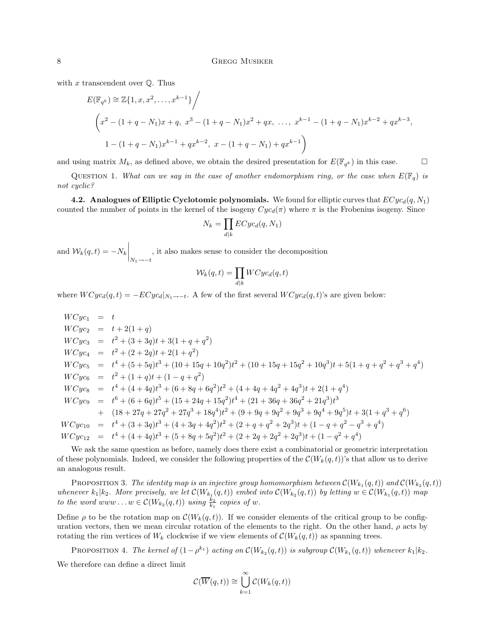with  $x$  transcendent over  $\mathbb Q$ . Thus

$$
E(\mathbb{F}_{q^k}) \cong \mathbb{Z}\{1, x, x^2, \dots, x^{k-1}\}\Big/
$$
  

$$
\left(x^2 - (1+q-N_1)x + q, x^3 - (1+q-N_1)x^2 + qx, \dots, x^{k-1} - (1+q-N_1)x^{k-2} + qx^{k-3},
$$
  

$$
1 - (1+q-N_1)x^{k-1} + qx^{k-2}, x - (1+q-N_1) + qx^{k-1}\right)
$$

and using matrix  $M_k$ , as defined above, we obtain the desired presentation for  $E(\mathbb{F}_{q^k})$  in this case.

QUESTION 1. What can we say in the case of another endomorphism ring, or the case when  $E(\mathbb{F}_q)$  is not cyclic?

4.2. Analogues of Elliptic Cyclotomic polynomials. We found for elliptic curves that  $ECyc_d(q, N_1)$ counted the number of points in the kernel of the isogeny  $Cyc_d(\pi)$  where  $\pi$  is the Frobenius isogeny. Since

$$
N_k = \prod_{d|k} ECyc_d(q, N_1)
$$

and  $\mathcal{W}_k(q,t) = -N_k \bigg|_{N_1 \to -t}$ , it also makes sense to consider the decomposition

$$
\mathcal{W}_k(q,t) = \prod_{d|k} WCyc_d(q,t)
$$

where  $WCyc_d(q, t) = -ECyc_d|_{N_1 \to -t}$ . A few of the first several  $WCyc_d(q, t)$ 's are given below:

$$
WCyc_1 = t
$$
  
\n
$$
WCyc_2 = t + 2(1 + q)
$$
  
\n
$$
WCyc_3 = t^2 + (3 + 3q)t + 3(1 + q + q^2)
$$
  
\n
$$
WCyc_4 = t^2 + (2 + 2q)t + 2(1 + q^2)
$$
  
\n
$$
WCyc_5 = t^4 + (5 + 5q)t^3 + (10 + 15q + 10q^2)t^2 + (10 + 15q + 15q^2 + 10q^3)t + 5(1 + q + q^2 + q^3 + q^4)
$$
  
\n
$$
WCyc_6 = t^2 + (1 + q)t + (1 - q + q^2)
$$
  
\n
$$
WCyc_8 = t^4 + (4 + 4q)t^3 + (6 + 8q + 6q^2)t^2 + (4 + 4q + 4q^2 + 4q^3)t + 2(1 + q^4)
$$
  
\n
$$
WCyc_9 = t^6 + (6 + 6q)t^5 + (15 + 24q + 15q^2)t^4 + (21 + 36q + 36q^2 + 21q^3)t^3
$$
  
\n
$$
+ (18 + 27q + 27q^2 + 27q^3 + 18q^4)t^2 + (9 + 9q + 9q^2 + 9q^3 + 9q^4 + 9q^5)t + 3(1 + q^3 + q^6)
$$
  
\n
$$
WCyc_{10} = t^4 + (3 + 3q)t^3 + (4 + 3q + 4q^2)t^2 + (2 + q + q^2 + 2q^3)t + (1 - q + q^2 - q^3 + q^4)
$$
  
\n
$$
WCyc_{12} = t^4 + (4 + 4q)t^3 + (5 + 8q + 5q^2)t^2 + (2 + 2q + 2q^2 + 2q^3)t + (1 - q^2 + q^4)
$$

We ask the same question as before, namely does there exist a combinatorial or geometric interpretation of these polynomials. Indeed, we consider the following properties of the  $\mathcal{C}(W_k(q,t))$ 's that allow us to derive an analogous result.

PROPOSITION 3. The identity map is an injective group homomorphism between  $\mathcal{C}(W_{k_1}(q,t))$  and  $\mathcal{C}(W_{k_2}(q,t))$ whenever  $k_1|k_2$ . More precisely, we let  $\mathcal{C}(W_{k_1}(q,t))$  embed into  $\mathcal{C}(W_{k_2}(q,t))$  by letting  $w \in \mathcal{C}(W_{k_1}(q,t))$  map to the word www... $w \in \mathcal{C}(W_{k_2}(q,t))$  using  $\frac{k_2}{k_1}$  copies of w.

Define  $\rho$  to be the rotation map on  $\mathcal{C}(W_k(q,t))$ . If we consider elements of the critical group to be configuration vectors, then we mean circular rotation of the elements to the right. On the other hand,  $\rho$  acts by rotating the rim vertices of  $W_k$  clockwise if we view elements of  $\mathcal{C}(W_k(q,t))$  as spanning trees.

PROPOSITION 4. The kernel of  $(1 - \rho^{k_1})$  acting on  $\mathcal{C}(W_{k_2}(q,t))$  is subgroup  $\mathcal{C}(W_{k_1}(q,t))$  whenever  $k_1 | k_2$ .

We therefore can define a direct limit

$$
\mathcal{C}(\overline{W}(q,t)) \cong \bigcup_{k=1}^{\infty} \mathcal{C}(W_k(q,t))
$$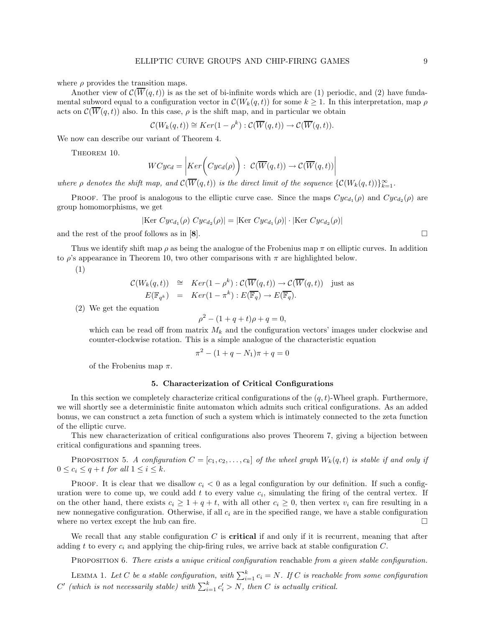where  $\rho$  provides the transition maps.

Another view of  $\mathcal{C}(\overline{W}(q,t))$  is as the set of bi-infinite words which are (1) periodic, and (2) have fundamental subword equal to a configuration vector in  $\mathcal{C}(W_k(q,t))$  for some  $k \geq 1$ . In this interpretation, map  $\rho$ acts on  $\mathcal{C}(\overline{W}(q,t))$  also. In this case,  $\rho$  is the shift map, and in particular we obtain

$$
\mathcal{C}(W_k(q,t)) \cong Ker(1-\rho^k): \mathcal{C}(\overline{W}(q,t)) \to \mathcal{C}(\overline{W}(q,t)).
$$

We now can describe our variant of Theorem 4.

THEOREM 10.

$$
WCyc_d = \left| \underline{Ker(Cyc_d(\rho)) : C(\overline{W}(q,t)) \to C(\overline{W}(q,t)) \right|
$$

where  $\rho$  denotes the shift map, and  $\mathcal{C}(W(q,t))$  is the direct limit of the sequence  $\{\mathcal{C}(W_k(q,t))\}_{k=1}^{\infty}$ .

**PROOF.** The proof is analogous to the elliptic curve case. Since the maps  $Cyc_{d_1}(\rho)$  and  $Cyc_{d_2}(\rho)$  are group homomorphisms, we get

 $|\text{Ker } Cyc_{d_1}(\rho) Cyc_{d_2}(\rho)| = |\text{Ker } Cyc_{d_1}(\rho)| \cdot |\text{Ker } Cyc_{d_2}(\rho)|$ 

and the rest of the proof follows as in [8].  $\Box$ 

Thus we identify shift map  $\rho$  as being the analogue of the Frobenius map  $\pi$  on elliptic curves. In addition to  $\rho$ 's appearance in Theorem 10, two other comparisons with  $\pi$  are highlighted below.

(1)

$$
\mathcal{C}(W_k(q,t)) \cong Ker(1-\rho^k): \mathcal{C}(\overline{W}(q,t)) \to \mathcal{C}(\overline{W}(q,t)) \text{ just as}
$$
  

$$
E(\mathbb{F}_{q^k}) = Ker(1-\pi^k): E(\overline{\mathbb{F}_q}) \to E(\overline{\mathbb{F}_q}).
$$

(2) We get the equation

$$
\rho^2 - (1 + q + t)\rho + q = 0,
$$

which can be read off from matrix  $M_k$  and the configuration vectors' images under clockwise and counter-clockwise rotation. This is a simple analogue of the characteristic equation

$$
\pi^2 - (1 + q - N_1)\pi + q = 0
$$

of the Frobenius map  $\pi$ .

## 5. Characterization of Critical Configurations

In this section we completely characterize critical configurations of the  $(q, t)$ -Wheel graph. Furthermore, we will shortly see a deterministic finite automaton which admits such critical configurations. As an added bonus, we can construct a zeta function of such a system which is intimately connected to the zeta function of the elliptic curve.

This new characterization of critical configurations also proves Theorem 7, giving a bijection between critical configurations and spanning trees.

PROPOSITION 5. A configuration  $C = [c_1, c_2, \ldots, c_k]$  of the wheel graph  $W_k(q, t)$  is stable if and only if  $0 \leq c_i \leq q+t$  for all  $1 \leq i \leq k$ .

PROOF. It is clear that we disallow  $c_i < 0$  as a legal configuration by our definition. If such a configuration were to come up, we could add t to every value  $c_i$ , simulating the firing of the central vertex. If on the other hand, there exists  $c_i \geq 1 + q + t$ , with all other  $c_i \geq 0$ , then vertex  $v_i$  can fire resulting in a new nonnegative configuration. Otherwise, if all  $c_i$  are in the specified range, we have a stable configuration where no vertex except the hub can fire.  $\Box$ 

We recall that any stable configuration  $C$  is **critical** if and only if it is recurrent, meaning that after adding t to every  $c_i$  and applying the chip-firing rules, we arrive back at stable configuration  $C$ .

PROPOSITION 6. There exists a unique critical configuration reachable from a given stable configuration.

LEMMA 1. Let C be a stable configuration, with  $\sum_{i=1}^{k} c_i = N$ . If C is reachable from some configuration  $C'$  (which is not necessarily stable) with  $\sum_{i=1}^{k} c'_i > N$ , then C is actually critical.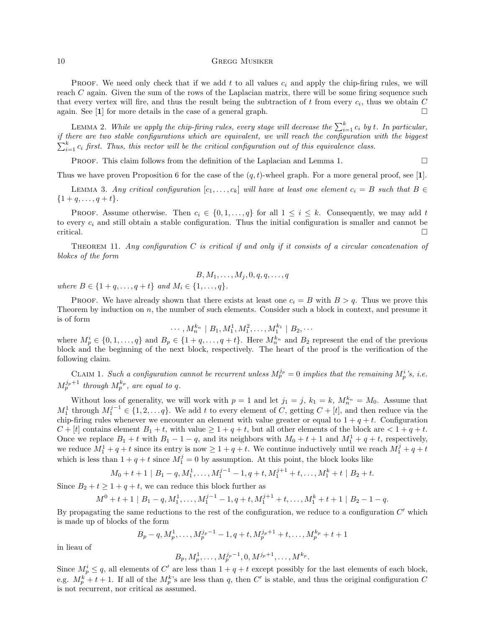### 10 GREGG MUSIKER

PROOF. We need only check that if we add t to all values  $c_i$  and apply the chip-firing rules, we will reach C again. Given the sum of the rows of the Laplacian matrix, there will be some firing sequence such that every vertex will fire, and thus the result being the subtraction of t from every  $c_i$ , thus we obtain C again. See  $[1]$  for more details in the case of a general graph.

LEMMA 2. While we apply the chip-firing rules, every stage will decrease the  $\sum_{i=1}^{k} c_i$  by t. In particular, if there are two stable configurations which are equivalent, we will reach the configuration with the biggest  $\sum_{i=1}^{k} c_i$  first. Thus, this vector will be the critical configuration out of this equivalence class.

**PROOF.** This claim follows from the definition of the Laplacian and Lemma 1.  $\Box$ 

Thus we have proven Proposition 6 for the case of the  $(q, t)$ -wheel graph. For a more general proof, see [1].

LEMMA 3. Any critical configuration  $[c_1, \ldots, c_k]$  will have at least one element  $c_i = B$  such that  $B \in$  $\{1+q,\ldots,q+t\}.$ 

PROOF. Assume otherwise. Then  $c_i \in \{0, 1, \ldots, q\}$  for all  $1 \leq i \leq k$ . Consequently, we may add t to every  $c_i$  and still obtain a stable configuration. Thus the initial configuration is smaller and cannot be critical.

THEOREM 11. Any configuration  $C$  is critical if and only if it consists of a circular concatenation of blokcs of the form

$$
B,M_1,\ldots,M_j,0,q,q,\ldots,q
$$

where  $B \in \{1+q, \ldots, q+t\}$  and  $M_i \in \{1, \ldots, q\}$ .

PROOF. We have already shown that there exists at least one  $c_i = B$  with  $B > q$ . Thus we prove this Theorem by induction on n, the number of such elements. Consider such a block in context, and presume it is of form

$$
\cdots, M_n^{k_n} \mid B_1, M_1^1, M_1^2, \ldots, M_1^{k_1} \mid B_2, \cdots
$$

where  $M_p^i \in \{0, 1, ..., q\}$  and  $B_p \in \{1 + q, ..., q + t\}$ . Here  $M_n^{k_n}$  and  $B_2$  represent the end of the previous block and the beginning of the next block, respectively. The heart of the proof is the verification of the following claim.

CLAIM 1. Such a configuration cannot be recurrent unless  $M_p^{j_p} = 0$  implies that the remaining  $M_p^i$ 's, i.e.  $M_p^{j_p+1}$  through  $M_p^{k_p}$ , are equal to q.

Without loss of generality, we will work with  $p = 1$  and let  $j_1 = j$ ,  $k_1 = k$ ,  $M_n^{k_n} = M_0$ . Assume that  $M_1^1$  through  $M_1^{j-1} \in \{1, 2, ..., q\}$ . We add t to every element of C, getting  $C + [t]$ , and then reduce via the chip-firing rules whenever we encounter an element with value greater or equal to  $1 + q + t$ . Configuration  $C + [t]$  contains element  $B_1 + t$ , with value  $\geq 1 + q + t$ , but all other elements of the block are  $\lt 1 + q + t$ . Once we replace  $B_1 + t$  with  $B_1 - 1 - q$ , and its neighbors with  $M_0 + t + 1$  and  $M_1^1 + q + t$ , respectively, we reduce  $M_1^1 + q + t$  since its entry is now  $\geq 1 + q + t$ . We continue inductively until we reach  $M_1^j + q + t$ which is less than  $1 + q + t$  since  $M_1^j = 0$  by assumption. At this point, the block looks like

$$
M_0 + t + 1 | B_1 - q, M_1^1, \dots, M_1^{j-1} - 1, q + t, M_1^{j+1} + t, \dots, M_1^k + t | B_2 + t.
$$

Since  $B_2 + t \geq 1 + q + t$ , we can reduce this block further as

$$
M^{0} + t + 1 | B_{1} - q, M_{1}^{1}, \ldots, M_{1}^{j-1} - 1, q + t, M_{1}^{j+1} + t, \ldots, M_{1}^{k} + t + 1 | B_{2} - 1 - q.
$$

By propagating the same reductions to the rest of the configuration, we reduce to a configuration  $C'$  which is made up of blocks of the form

$$
B_p - q, M_p^1, \ldots, M_p^{j_p - 1} - 1, q + t, M_p^{j_p + 1} + t, \ldots, M_p^{k_p} + t + 1
$$

in lieau of

$$
B_p, M_p^1, \ldots, M_p^{j_p-1}, 0, M^{j_p+1}, \ldots, M^{k_p}.
$$

Since  $M_p^i \leq q$ , all elements of C' are less than  $1 + q + t$  except possibly for the last elements of each block, e.g.  $M_p^k + t + 1$ . If all of the  $M_p^k$ 's are less than q, then C' is stable, and thus the original configuration C is not recurrent, nor critical as assumed.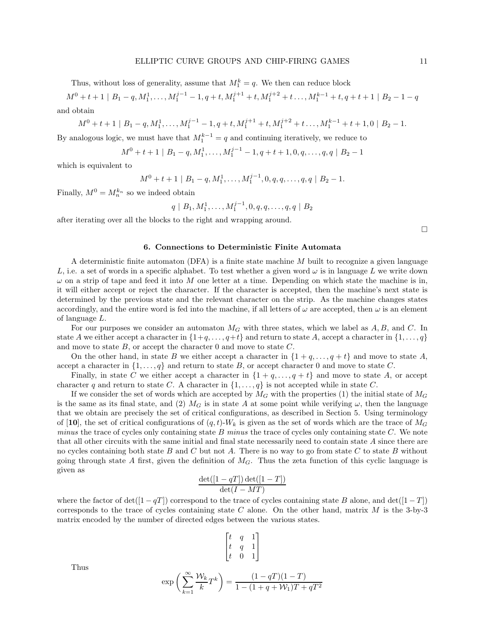Thus, without loss of generality, assume that  $M_1^k = q$ . We then can reduce block

$$
M^{0} + t + 1 | B_{1} - q, M_{1}^{1}, \dots, M_{1}^{j-1} - 1, q + t, M_{1}^{j+1} + t, M_{1}^{j+2} + t \dots, M_{1}^{k-1} + t, q + t + 1 | B_{2} - 1 - q
$$
  
and obtain

$$
M^{0} + t + 1 | B_{1} - q, M_{1}^{1}, \ldots, M_{1}^{j-1} - 1, q + t, M_{1}^{j+1} + t, M_{1}^{j+2} + t \ldots, M_{1}^{k-1} + t + 1, 0 | B_{2} - 1.
$$

By analogous logic, we must have that  $M_1^{k-1} = q$  and continuing iteratively, we reduce to

$$
M^{0} + t + 1 | B_{1} - q, M_{1}^{1}, \ldots, M_{1}^{j-1} - 1, q + t + 1, 0, q, \ldots, q, q | B_{2} - 1
$$

which is equivalent to

$$
M^{0} + t + 1 | B_{1} - q, M_{1}^{1}, \ldots, M_{1}^{j-1}, 0, q, q, \ldots, q, q | B_{2} - 1.
$$

Finally,  $M^0 = M_n^{k_n}$  so we indeed obtain

$$
q | B_1, M_1^1, \ldots, M_1^{j-1}, 0, q, q, \ldots, q, q | B_2
$$

after iterating over all the blocks to the right and wrapping around.

### 6. Connections to Deterministic Finite Automata

A deterministic finite automaton (DFA) is a finite state machine  $M$  built to recognize a given language L, i.e. a set of words in a specific alphabet. To test whether a given word  $\omega$  is in language L we write down  $\omega$  on a strip of tape and feed it into M one letter at a time. Depending on which state the machine is in, it will either accept or reject the character. If the character is accepted, then the machine's next state is determined by the previous state and the relevant character on the strip. As the machine changes states accordingly, and the entire word is fed into the machine, if all letters of  $\omega$  are accepted, then  $\omega$  is an element of language L.

For our purposes we consider an automaton  $M_G$  with three states, which we label as  $A, B$ , and C. In state A we either accept a character in  $\{1+q, \ldots, q+t\}$  and return to state A, accept a character in  $\{1, \ldots, q\}$ and move to state  $B$ , or accept the character 0 and move to state  $C$ .

On the other hand, in state B we either accept a character in  $\{1+q,\ldots,q+t\}$  and move to state A, accept a character in  $\{1, \ldots, q\}$  and return to state B, or accept character 0 and move to state C.

Finally, in state C we either accept a character in  $\{1+q,\ldots,q+t\}$  and move to state A, or accept character q and return to state C. A character in  $\{1, \ldots, q\}$  is not accepted while in state C.

If we consider the set of words which are accepted by  $M_G$  with the properties (1) the initial state of  $M_G$ is the same as its final state, and (2)  $M_G$  is in state A at some point while verifying  $\omega$ , then the language that we obtain are precisely the set of critical configurations, as described in Section 5. Using terminology of [10], the set of critical configurations of  $(q, t)$ -W<sub>k</sub> is given as the set of words which are the trace of  $M_G$ minus the trace of cycles only containing state  $B$  minus the trace of cycles only containing state  $C$ . We note that all other circuits with the same initial and final state necessarily need to contain state A since there are no cycles containing both state  $B$  and  $C$  but not  $A$ . There is no way to go from state  $C$  to state  $B$  without going through state A first, given the definition of  $M<sub>G</sub>$ . Thus the zeta function of this cyclic language is given as

$$
\frac{\det([1-qT])\det([1-T])}{\det(I-MT)}
$$

where the factor of det $([1 - qT])$  correspond to the trace of cycles containing state B alone, and det $([1 - T])$ corresponds to the trace of cycles containing state C alone. On the other hand, matrix  $M$  is the 3-by-3 matrix encoded by the number of directed edges between the various states.

$$
\begin{bmatrix} t & q & 1 \\ t & q & 1 \\ t & 0 & 1 \end{bmatrix}
$$

Thus

$$
\exp\left(\sum_{k=1}^{\infty} \frac{\mathcal{W}_k}{k} T^k\right) = \frac{(1 - qT)(1 - T)}{1 - (1 + q + \mathcal{W}_1)T + qT^2}
$$

 $\Box$